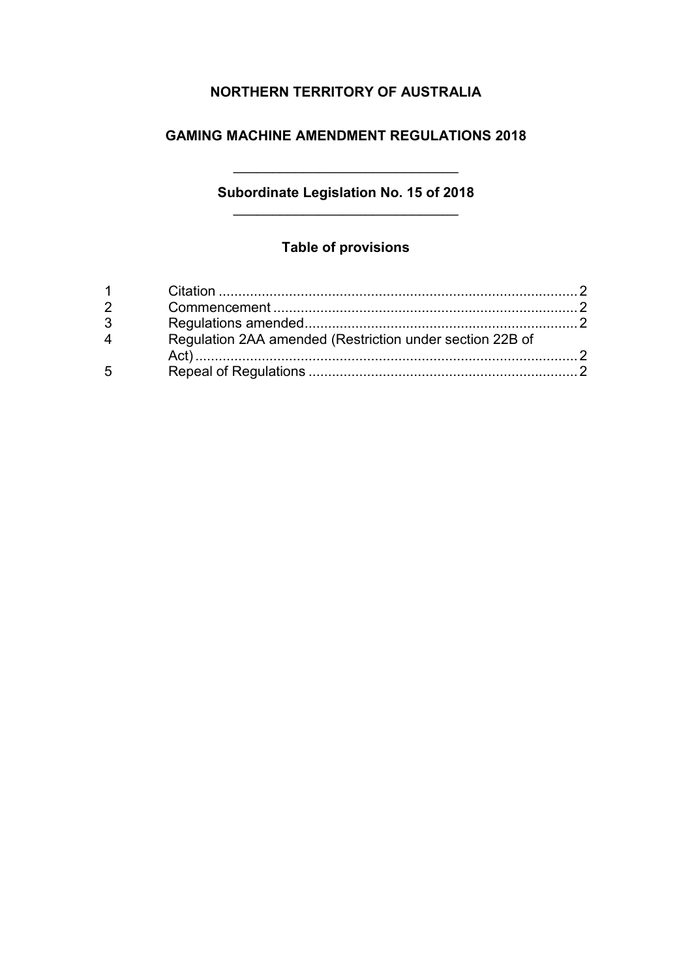# **NORTHERN TERRITORY OF AUSTRALIA**

### **GAMING MACHINE AMENDMENT REGULATIONS 2018**

### **Subordinate Legislation No. 15 of 2018** \_\_\_\_\_\_\_\_\_\_\_\_\_\_\_\_\_\_\_\_\_\_\_\_\_\_\_\_\_

\_\_\_\_\_\_\_\_\_\_\_\_\_\_\_\_\_\_\_\_\_\_\_\_\_\_\_\_\_

## **Table of provisions**

|   | Regulation 2AA amended (Restriction under section 22B of |  |
|---|----------------------------------------------------------|--|
|   |                                                          |  |
| 5 |                                                          |  |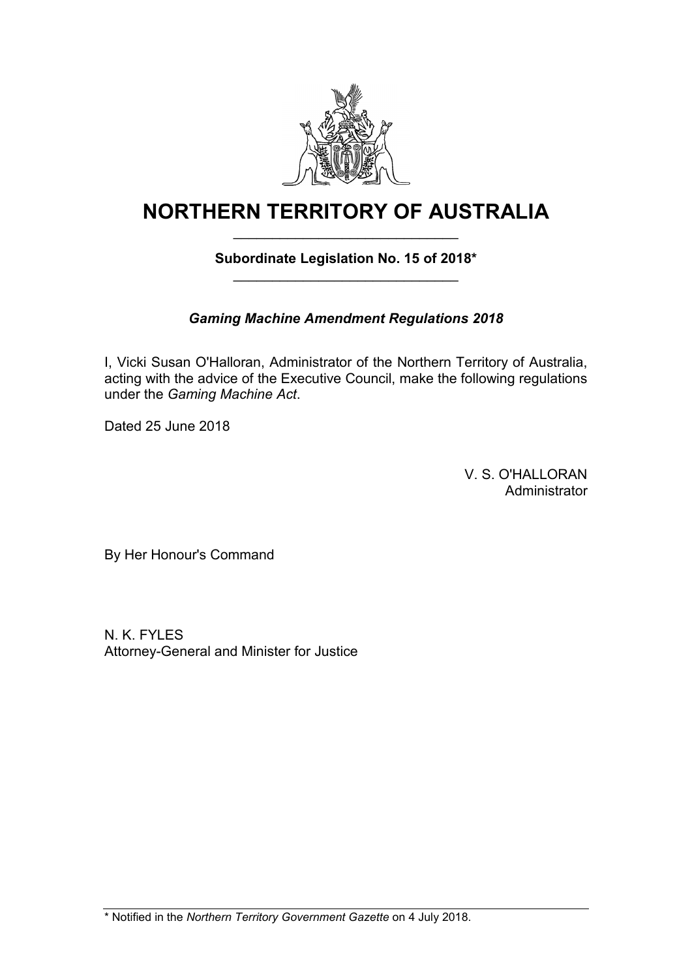

# **NORTHERN TERRITORY OF AUSTRALIA** \_\_\_\_\_\_\_\_\_\_\_\_\_\_\_\_\_\_\_\_\_\_\_\_\_\_\_\_\_

### **Subordinate Legislation No. 15 of 2018\*** \_\_\_\_\_\_\_\_\_\_\_\_\_\_\_\_\_\_\_\_\_\_\_\_\_\_\_\_\_

# *Gaming Machine Amendment Regulations 2018*

I, Vicki Susan O'Halloran, Administrator of the Northern Territory of Australia, acting with the advice of the Executive Council, make the following regulations under the *Gaming Machine Act*.

Dated 25 June 2018

V. S. O'HALLORAN Administrator

By Her Honour's Command

N. K. FYLES Attorney-General and Minister for Justice

\* Notified in the *Northern Territory Government Gazette* on 4 July 2018.